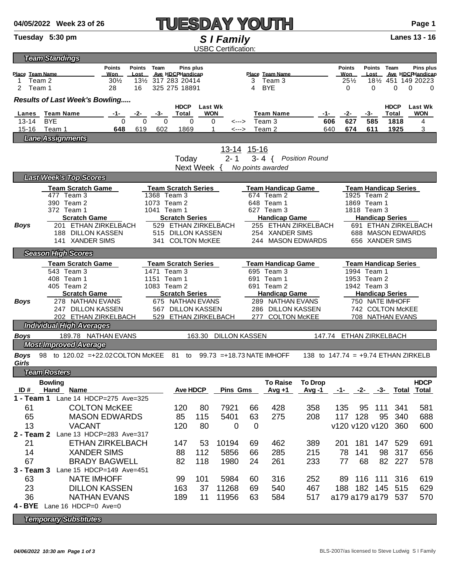| Lanes                                                                                              | <b>Team Manne</b>                                                             |                                      | ι υιαι                | wuw             |                              |                           | ream Name                               | - 1 -                                 | .                           | -כי                                  |                 | τυιαι | <b>VVUN</b>          |  |  |
|----------------------------------------------------------------------------------------------------|-------------------------------------------------------------------------------|--------------------------------------|-----------------------|-----------------|------------------------------|---------------------------|-----------------------------------------|---------------------------------------|-----------------------------|--------------------------------------|-----------------|-------|----------------------|--|--|
| $13 - 14$                                                                                          | $\mathbf 0$<br><b>BYE</b>                                                     | $\mathbf 0$<br>0                     | $\mathbf 0$           |                 | 0<br><--->                   |                           | Team 3                                  |                                       | 627<br>606                  |                                      | 585             | 1818  | 4                    |  |  |
| $15 - 16$                                                                                          | Team 1<br>648                                                                 | 619<br>602                           | 1869                  |                 | 1<br><--->                   |                           | Team 2                                  |                                       | 640<br>674                  |                                      | 611             | 1925  | 3                    |  |  |
|                                                                                                    | <b>Lane Assignments</b>                                                       |                                      |                       |                 |                              |                           |                                         |                                       |                             |                                      |                 |       |                      |  |  |
|                                                                                                    |                                                                               |                                      |                       |                 | 13-14 15-16                  |                           |                                         |                                       |                             |                                      |                 |       |                      |  |  |
|                                                                                                    |                                                                               |                                      | Today                 |                 | $2 - 1$                      |                           | $3 - 4$ {                               | <b>Position Round</b>                 |                             |                                      |                 |       |                      |  |  |
| Next Week {<br>No points awarded                                                                   |                                                                               |                                      |                       |                 |                              |                           |                                         |                                       |                             |                                      |                 |       |                      |  |  |
| <b>Last Week's Top Scores</b>                                                                      |                                                                               |                                      |                       |                 |                              |                           |                                         |                                       |                             |                                      |                 |       |                      |  |  |
|                                                                                                    | <b>Team Scratch Game</b>                                                      | <b>Team Scratch Series</b>           |                       |                 |                              | <b>Team Handicap Game</b> |                                         |                                       | <b>Team Handicap Series</b> |                                      |                 |       |                      |  |  |
|                                                                                                    | 477 Team 3<br>1368 Team 3                                                     |                                      |                       |                 |                              |                           | 674 Team 2                              |                                       |                             | 1925 Team 2                          |                 |       |                      |  |  |
|                                                                                                    | 390 Team 2<br>1073 Team 2                                                     |                                      |                       |                 |                              |                           | 648 Team 1                              |                                       |                             | 1869 Team 1                          |                 |       |                      |  |  |
|                                                                                                    | 372 Team 1                                                                    | 1041 Team 1<br><b>Scratch Series</b> |                       |                 |                              |                           | 627 Team 3                              |                                       |                             | 1818 Team 3                          |                 |       |                      |  |  |
|                                                                                                    | <b>Scratch Game</b>                                                           |                                      | <b>Handicap Game</b>  |                 |                              | <b>Handicap Series</b>    |                                         |                                       |                             |                                      |                 |       |                      |  |  |
| Boys                                                                                               | 201 ETHAN ZIRKELBACH<br>529 ETHAN ZIRKELBACH                                  |                                      |                       |                 |                              |                           | 255 ETHAN ZIRKELBACH<br>254 XANDER SIMS |                                       |                             | 691 ETHAN ZIRKELBACH                 |                 |       |                      |  |  |
|                                                                                                    | 188 DILLON KASSEN<br>515 DILLON KASSEN<br>141 XANDER SIMS<br>341 COLTON McKEE |                                      |                       |                 |                              |                           | 244 MASON EDWARDS                       |                                       |                             | 688 MASON EDWARDS<br>656 XANDER SIMS |                 |       |                      |  |  |
|                                                                                                    |                                                                               |                                      |                       |                 |                              |                           |                                         |                                       |                             |                                      |                 |       |                      |  |  |
|                                                                                                    | <b>Season High Scores</b>                                                     |                                      |                       |                 |                              |                           |                                         |                                       |                             |                                      |                 |       |                      |  |  |
|                                                                                                    | <b>Team Scratch Game</b><br><b>Team Scratch Series</b>                        |                                      |                       |                 |                              |                           | <b>Team Handicap Game</b>               |                                       |                             | <b>Team Handicap Series</b>          |                 |       |                      |  |  |
|                                                                                                    | 543 Team 3                                                                    | 1471 Team 3                          |                       |                 |                              |                           | 695 Team 3                              |                                       |                             | 1994 Team 1<br>1953 Team 2           |                 |       |                      |  |  |
|                                                                                                    | 408 Team 1<br>405 Team 2                                                      | 1151 Team 1<br>1083 Team 2           |                       |                 |                              |                           | 691 Team 1<br>691 Team 2                |                                       |                             | 1942 Team 3                          |                 |       |                      |  |  |
|                                                                                                    | <b>Scratch Game</b>                                                           |                                      | <b>Scratch Series</b> |                 |                              | <b>Handicap Game</b>      |                                         |                                       |                             | <b>Handicap Series</b>               |                 |       |                      |  |  |
| Boys                                                                                               | 278 NATHAN EVANS                                                              | 675 NATHAN EVANS                     |                       |                 |                              |                           | 289 NATHAN EVANS                        |                                       |                             |                                      | 750 NATE IMHOFF |       |                      |  |  |
|                                                                                                    | 247 DILLON KASSEN                                                             | 567 DILLON KASSEN                    |                       |                 |                              | 286 DILLON KASSEN         |                                         |                                       |                             | 742 COLTON McKEE                     |                 |       |                      |  |  |
|                                                                                                    | 202 ETHAN ZIRKELBACH                                                          | 529 ETHAN ZIRKELBACH                 |                       |                 | 277 COLTON McKEE             |                           |                                         |                                       | 708 NATHAN EVANS            |                                      |                 |       |                      |  |  |
|                                                                                                    | <b>Individual High Averages</b>                                               |                                      |                       |                 |                              |                           |                                         |                                       |                             |                                      |                 |       |                      |  |  |
| 189.78 NATHAN EVANS<br><b>Boys</b><br>163.30<br><b>DILLON KASSEN</b><br>147.74<br>ETHAN ZIRKELBACH |                                                                               |                                      |                       |                 |                              |                           |                                         |                                       |                             |                                      |                 |       |                      |  |  |
|                                                                                                    | <b>Most Improved Average</b>                                                  |                                      |                       |                 |                              |                           |                                         |                                       |                             |                                      |                 |       |                      |  |  |
| <b>Boys</b>                                                                                        | 98 to 120.02 = + 22.02 COLTON McKEE 81 to                                     |                                      |                       |                 | $99.73$ = +18.73 NATE IMHOFF |                           |                                         | 138 to $147.74 = +9.74$ ETHAN ZIRKELB |                             |                                      |                 |       |                      |  |  |
| Girls                                                                                              |                                                                               |                                      |                       |                 |                              |                           |                                         |                                       |                             |                                      |                 |       |                      |  |  |
|                                                                                                    | <b>Team Rosters</b>                                                           |                                      |                       |                 |                              |                           |                                         |                                       |                             |                                      |                 |       |                      |  |  |
| <b>Bowling</b><br>ID#<br>Hand Name                                                                 |                                                                               |                                      |                       | <b>Ave HDCP</b> | <b>Pins Gms</b>              |                           | <b>To Raise</b><br>Avg +1               | <b>To Drop</b><br>Avg -1              | -1-                         | -2-                                  | -3-             | Total | <b>HDCP</b><br>Total |  |  |
| $1 - Team 1$                                                                                       | Lane 14 HDCP=275 Ave=325                                                      |                                      |                       |                 |                              |                           |                                         |                                       |                             |                                      |                 |       |                      |  |  |
| 61                                                                                                 | <b>COLTON McKEE</b>                                                           |                                      | 120                   | 80              | 7921                         | 66                        | 428                                     | 358                                   | 135                         | 95                                   | 111             | 341   | 581                  |  |  |
| 65                                                                                                 | <b>MASON EDWARDS</b>                                                          |                                      | 85                    | 115             | 5401                         | 63                        | 275                                     | 208                                   | 117                         | 128                                  | 95              | 340   | 688                  |  |  |
|                                                                                                    |                                                                               |                                      |                       |                 |                              |                           |                                         |                                       |                             |                                      |                 |       |                      |  |  |
| 13<br><b>VACANT</b>                                                                                |                                                                               | 120                                  | 80                    | 0               | $\overline{0}$               |                           |                                         | v120 v120 v120                        |                             |                                      | 360             | 600   |                      |  |  |
| $2 - Team 2$<br>Lane 13 HDCP=283 Ave=317                                                           |                                                                               |                                      |                       |                 |                              |                           |                                         |                                       |                             |                                      |                 |       |                      |  |  |
| ETHAN ZIRKELBACH<br>21                                                                             |                                                                               | 147                                  | 53                    | 10194           | 69                           | 462                       | 389                                     | 201                                   | 181                         | 147                                  | 529             | 691   |                      |  |  |
| 14                                                                                                 | <b>XANDER SIMS</b>                                                            |                                      | 88                    | 112             | 5856                         | 66                        | 285                                     | 215                                   | 78                          | 141                                  | 98              | 317   | 656                  |  |  |
| 67<br><b>BRADY BAGWELL</b>                                                                         |                                                                               |                                      | 82                    | 118             | 1980                         | 24                        | 261                                     | 233                                   | 77                          | 68                                   | 82              | 227   | 578                  |  |  |
| 3 - Team 3                                                                                         | Lane 15 HDCP=149 Ave=451                                                      |                                      |                       |                 |                              |                           |                                         |                                       |                             |                                      |                 |       |                      |  |  |
| 63                                                                                                 | <b>NATE IMHOFF</b>                                                            |                                      | 99                    | 101             | 5984                         | 60                        | 316                                     | 252                                   | 89                          | 116                                  | 111             | 316   | 619                  |  |  |
| つつ                                                                                                 | DILLON KASSEN                                                                 |                                      | 163                   | 37              | 11268                        | 6Q                        | 540                                     | 467                                   | 188                         |                                      | 182, 145        | 515   | 629                  |  |  |

### *Results of Last Week's Bowling.....*

 $\frac{1}{2}$  Team 2  $\frac{30\frac{1}{2}}{28}$   $\frac{13\frac{1}{2}}{16}$   $\frac{317}{283}$   $\frac{20414}{28}$ <br>28  $\frac{16}{325}$   $\frac{275}{275}$  18891

*Team Standings*

**HDCP Last Wk HDCP Last Wk Lanes Team Name -1- -2- -3- Total WON Team Name -1- -2- -3- Total WON**

23 DILLON KASSEN 163 37 11268 69 540 467 188 182 145 515 629 36 NATHAN EVANS 189 11 11956 63 584 517 a179 a179 a179 537 570 **4 - BYE** Lane 16 HDCP=0 Ave=0 *Temporary Substitutes*

## **Tuesday 5:30 pm** *S I Family* **Lanes 13 - 16**

25½ 18½ 451 149 20223

4 BYE 0 0 0 0 0



**Place Team Name Won Lost Ave HDCPHandicap Place Team Name Won Lost Ave HDCPHandicap**

28 16 325 275 18891

USBC Certification:

**Points Points Team Pins plus Points Points Team Pins plus**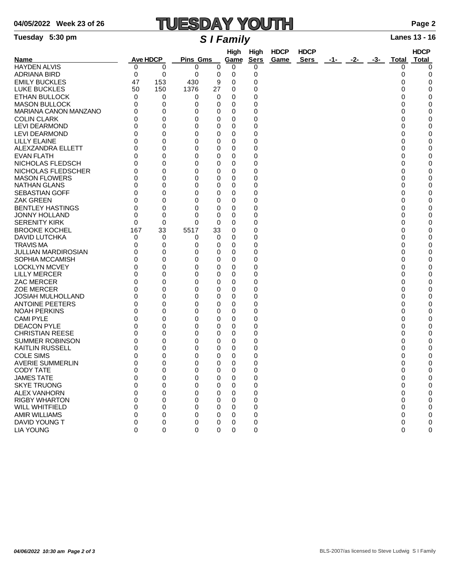# **04/05/2022 Week 23 of 26 TUESDAY YOUTH Page 2**

### **Tuesday 5:30 pm** *S I Family* **Lanes 13 - 16**

| Name                       | <b>Ave HDCP</b> |     | <b>Pins Gms</b> |          | High<br>High<br>Game<br><b>Sers</b> |          | <b>HDCP</b><br>Game | <b>HDCP</b><br>Sers | -1- | -2- | -3- | Total    | <b>HDCP</b><br>Total |
|----------------------------|-----------------|-----|-----------------|----------|-------------------------------------|----------|---------------------|---------------------|-----|-----|-----|----------|----------------------|
| <b>HAYDEN ALVIS</b>        | 0               | 0   | 0               | 0        | 0                                   | 0        |                     |                     |     |     |     | 0        | 0                    |
| <b>ADRIANA BIRD</b>        | 0               | 0   | 0               | 0        | 0                                   | 0        |                     |                     |     |     |     | 0        | 0                    |
| <b>EMILY BUCKLES</b>       | 47              | 153 | 430             | 9        | 0                                   | 0        |                     |                     |     |     |     | 0        | 0                    |
|                            |                 |     |                 |          |                                     |          |                     |                     |     |     |     |          |                      |
| <b>LUKE BUCKLES</b>        | 50              | 150 | 1376            | 27       | 0                                   | 0        |                     |                     |     |     |     | 0        | 0                    |
| <b>ETHAN BULLOCK</b>       | 0               | 0   | 0               | 0        | 0                                   | 0        |                     |                     |     |     |     | 0        | 0                    |
| <b>MASON BULLOCK</b>       | 0               | 0   | 0               | 0        | 0                                   | 0        |                     |                     |     |     |     | 0        | 0                    |
| MARIANA CANON MANZANO      | 0               | 0   | 0               | 0        | 0                                   | 0        |                     |                     |     |     |     | 0        | 0                    |
| <b>COLIN CLARK</b>         | $\Omega$        | 0   | 0               | 0        | 0                                   | 0        |                     |                     |     |     |     | 0        | 0                    |
| <b>LEVI DEARMOND</b>       | 0               | 0   | 0               | 0        | 0                                   | 0        |                     |                     |     |     |     | 0        | 0                    |
| <b>LEVI DEARMOND</b>       | 0               | 0   | 0               | 0        | 0                                   | 0        |                     |                     |     |     |     | 0        | 0                    |
| <b>LILLY ELAINE</b>        | $\Omega$        | 0   | 0               | 0        | 0                                   | 0        |                     |                     |     |     |     | 0        | 0                    |
| ALEXZANDRA ELLETT          | 0               | 0   | 0               | 0        | 0                                   | 0        |                     |                     |     |     |     | 0        | 0                    |
| <b>EVAN FLATH</b>          | 0               | 0   | 0               | 0        | 0                                   | 0        |                     |                     |     |     |     | 0        | 0                    |
| NICHOLAS FLEDSCH           | $\Omega$        | 0   | 0               | 0        | 0                                   | 0        |                     |                     |     |     |     | 0        | 0                    |
|                            |                 |     |                 |          |                                     |          |                     |                     |     |     |     |          |                      |
| NICHOLAS FLEDSCHER         | 0               | 0   | 0               | 0        | 0                                   | 0        |                     |                     |     |     |     | 0        | 0                    |
| <b>MASON FLOWERS</b>       | 0               | 0   | 0               | 0        | 0                                   | 0        |                     |                     |     |     |     | 0        | 0                    |
| NATHAN GLANS               | $\Omega$        | 0   | 0               | 0        | 0                                   | 0        |                     |                     |     |     |     | 0        | 0                    |
| <b>SEBASTIAN GOFF</b>      | 0               | 0   | 0               | 0        | 0                                   | 0        |                     |                     |     |     |     | 0        | 0                    |
| <b>ZAK GREEN</b>           | 0               | 0   | 0               | 0        | 0                                   | 0        |                     |                     |     |     |     | 0        | 0                    |
| <b>BENTLEY HASTINGS</b>    | 0               | 0   | 0               | 0        | 0                                   | 0        |                     |                     |     |     |     | 0        | 0                    |
| <b>JONNY HOLLAND</b>       | 0               | 0   | 0               | 0        | 0                                   | 0        |                     |                     |     |     |     | 0        | 0                    |
| <b>SERENITY KIRK</b>       | 0               | 0   | 0               | 0        | 0                                   | 0        |                     |                     |     |     |     | 0        | 0                    |
| <b>BROOKE KOCHEL</b>       | 167             | 33  | 5517            | 33       | 0                                   | 0        |                     |                     |     |     |     | 0        | 0                    |
| <b>DAVID LUTCHKA</b>       | 0               | 0   | 0               | 0        | 0                                   | 0        |                     |                     |     |     |     | 0        | 0                    |
| <b>TRAVIS MA</b>           |                 |     |                 |          |                                     |          |                     |                     |     |     |     |          |                      |
|                            | 0               | 0   | 0               | 0        | 0                                   | 0        |                     |                     |     |     |     | 0        | 0                    |
| <b>JULLIAN MARDIROSIAN</b> | 0               | 0   | 0               | 0        | 0                                   | 0        |                     |                     |     |     |     | 0        | 0                    |
| SOPHIA MCCAMISH            | $\Omega$        | 0   | 0               | 0        | 0                                   | 0        |                     |                     |     |     |     | 0        | 0                    |
| <b>LOCKLYN MCVEY</b>       | 0               | 0   | 0               | 0        | 0                                   | 0        |                     |                     |     |     |     | 0        | 0                    |
| <b>LILLY MERCER</b>        | 0               | 0   | 0               | 0        | 0                                   | 0        |                     |                     |     |     |     | 0        | 0                    |
| <b>ZAC MERCER</b>          | 0               | 0   | 0               | 0        | 0                                   | 0        |                     |                     |     |     |     | 0        | 0                    |
| <b>ZOE MERCER</b>          | 0               | 0   | 0               | 0        | 0                                   | 0        |                     |                     |     |     |     | 0        | 0                    |
| <b>JOSIAH MULHOLLAND</b>   | 0               | 0   | 0               | 0        | 0                                   | 0        |                     |                     |     |     |     | 0        | 0                    |
| <b>ANTOINE PEETERS</b>     | 0               | 0   | 0               | 0        | 0                                   | 0        |                     |                     |     |     |     | 0        | 0                    |
| <b>NOAH PERKINS</b>        | 0               | 0   | 0               | 0        | 0                                   | 0        |                     |                     |     |     |     | 0        | 0                    |
| <b>CAMI PYLE</b>           | 0               | 0   | 0               | 0        | 0                                   | 0        |                     |                     |     |     |     | 0        | 0                    |
| <b>DEACON PYLE</b>         | 0               | 0   | 0               | 0        | 0                                   | 0        |                     |                     |     |     |     | 0        | 0                    |
| <b>CHRISTIAN REESE</b>     | 0               | 0   | 0               | 0        | 0                                   | 0        |                     |                     |     |     |     | 0        | 0                    |
|                            |                 |     |                 |          |                                     |          |                     |                     |     |     |     |          |                      |
| <b>SUMMER ROBINSON</b>     | 0               | 0   | 0               | 0        | 0                                   | 0        |                     |                     |     |     |     | 0        | 0                    |
| <b>KAITLIN RUSSELL</b>     | 0               | 0   | 0               | 0        | 0                                   | 0        |                     |                     |     |     |     | 0        | 0                    |
| <b>COLE SIMS</b>           | 0               | 0   | 0               | 0        | 0                                   | 0        |                     |                     |     |     |     | 0        | 0                    |
| <b>AVERIE SUMMERLIN</b>    | 0               | 0   | 0               | 0        | 0                                   | 0        |                     |                     |     |     |     | 0        | 0                    |
| <b>CODY TATE</b>           | $\Omega$        | 0   | $\Omega$        | $\Omega$ | 0                                   | $\Omega$ |                     |                     |     |     |     | $\Omega$ | $\Omega$             |
| <b>JAMES TATE</b>          | 0               | 0   | 0               | 0        | 0                                   | 0        |                     |                     |     |     |     | 0        | 0                    |
| <b>SKYE TRUONG</b>         | 0               | 0   | 0               | 0        | $\Omega$                            | 0        |                     |                     |     |     |     | 0        | 0                    |
| <b>ALEX VANHORN</b>        | 0               | 0   | 0               | 0        | 0                                   | 0        |                     |                     |     |     |     | 0        | 0                    |
| <b>RIGBY WHARTON</b>       | 0               | 0   | 0               | 0        | 0                                   | 0        |                     |                     |     |     |     | 0        | 0                    |
| <b>WILL WHITFIELD</b>      | 0               | 0   | 0               | 0        | 0                                   | 0        |                     |                     |     |     |     | 0        | 0                    |
|                            | 0               | 0   | 0               | 0        | 0                                   |          |                     |                     |     |     |     | 0        | 0                    |
| <b>AMIR WILLIAMS</b>       |                 |     |                 |          |                                     | 0        |                     |                     |     |     |     |          |                      |
| DAVID YOUNG T              | 0               | 0   | 0               | 0        | 0                                   | 0        |                     |                     |     |     |     | 0        | 0                    |
| <b>LIA YOUNG</b>           | 0               | 0   | $\Omega$        | $\Omega$ | 0                                   | 0        |                     |                     |     |     |     | 0        | 0                    |